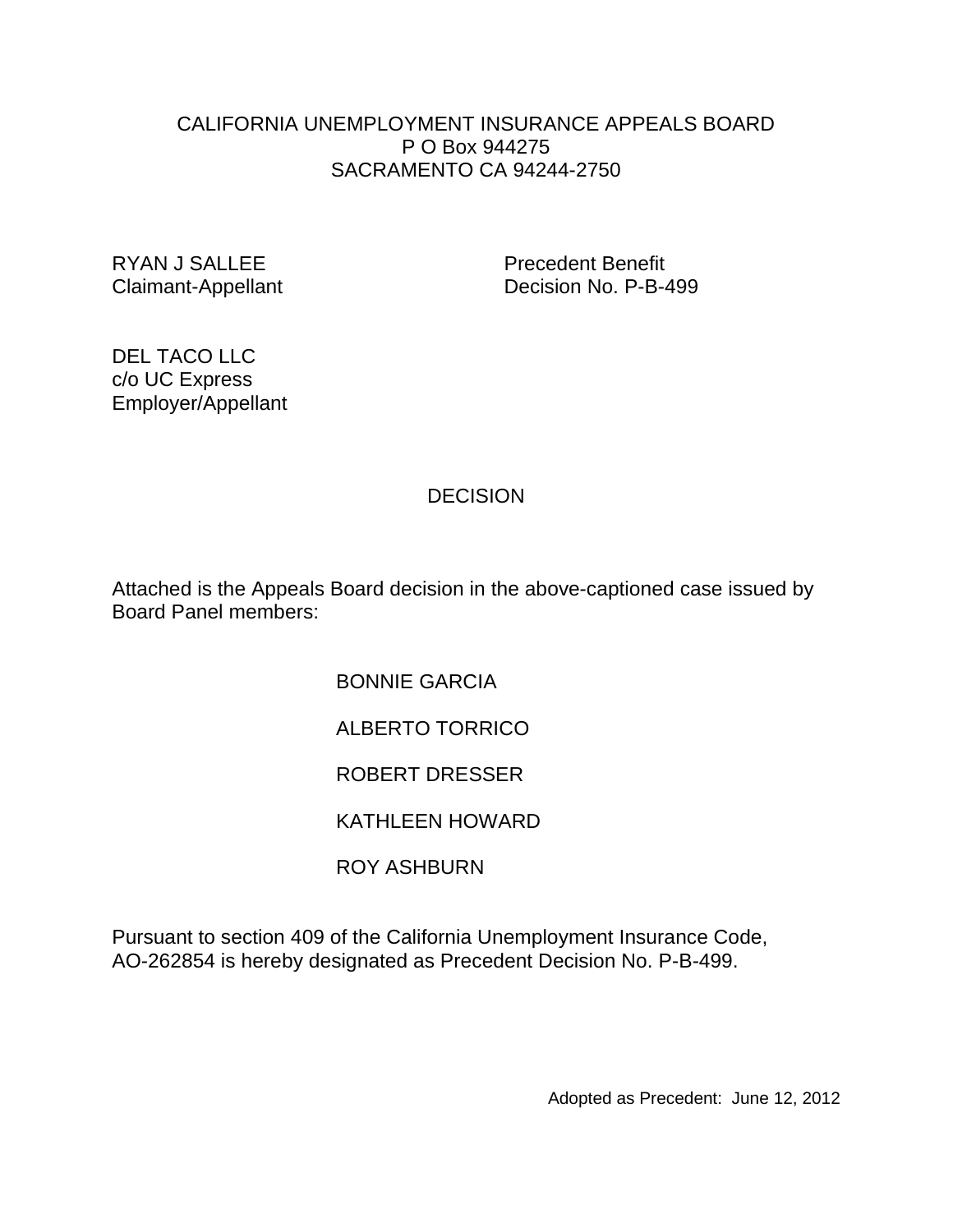#### CALIFORNIA UNEMPLOYMENT INSURANCE APPEALS BOARD P O Box 944275 SACRAMENTO CA 94244-2750

RYAN J SALLEE Precedent Benefit

Claimant-Appellant Decision No. P-B-499

DEL TACO LLC c/o UC Express Employer/Appellant

# **DECISION**

Attached is the Appeals Board decision in the above-captioned case issued by Board Panel members:

> BONNIE GARCIA ALBERTO TORRICO ROBERT DRESSER KATHLEEN HOWARD ROY ASHBURN

Pursuant to section 409 of the California Unemployment Insurance Code, AO-262854 is hereby designated as Precedent Decision No. P-B-499.

Adopted as Precedent: June 12, 2012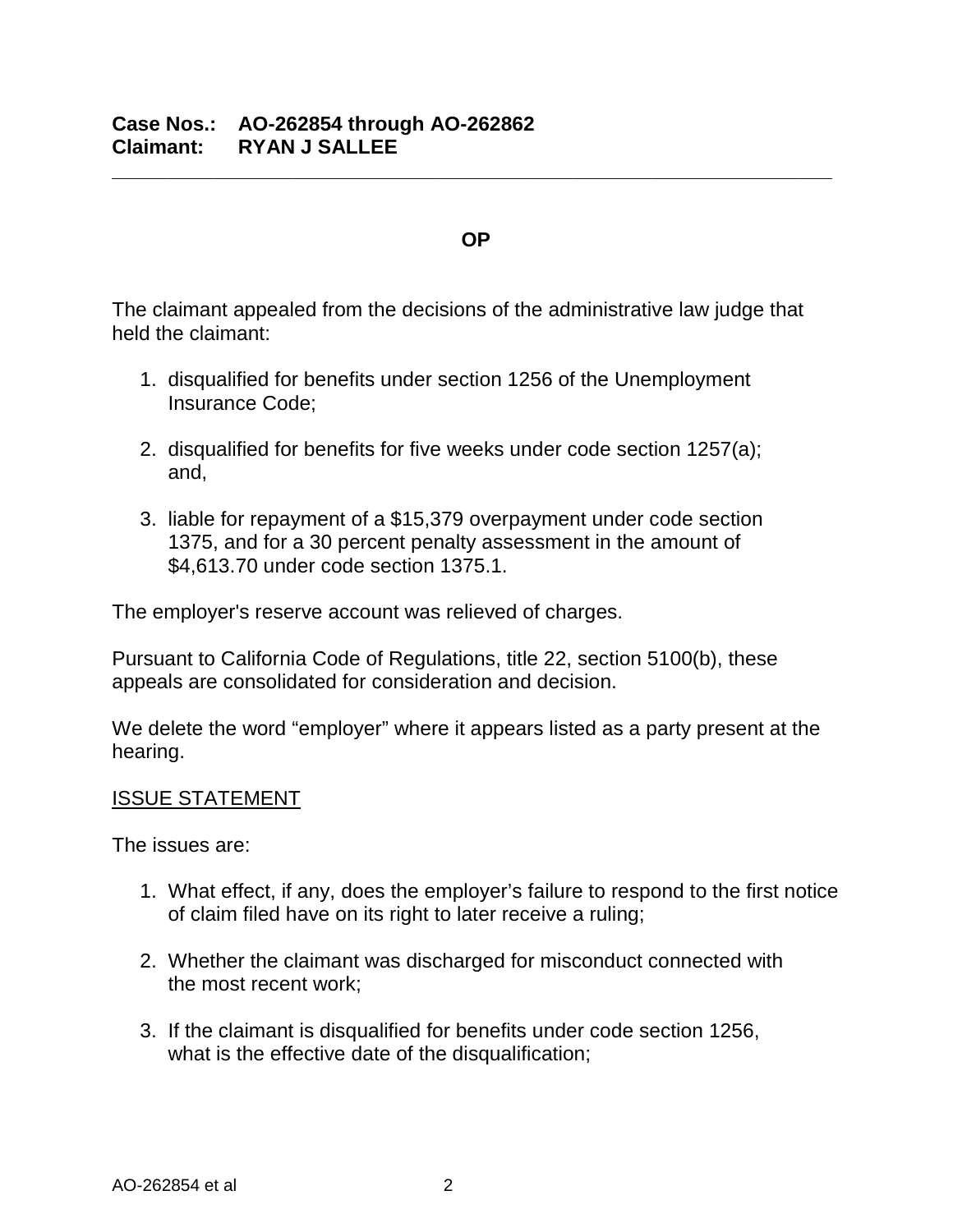#### **OP**

**\_\_\_\_\_\_\_\_\_\_\_\_\_\_\_\_\_\_\_\_\_\_\_\_\_\_\_\_\_\_\_\_\_\_\_\_\_\_\_\_\_\_\_\_\_\_\_\_\_\_\_\_\_\_\_\_\_\_\_\_\_\_\_\_**

The claimant appealed from the decisions of the administrative law judge that held the claimant:

- 1. disqualified for benefits under section 1256 of the Unemployment Insurance Code;
- 2. disqualified for benefits for five weeks under code section 1257(a); and,
- 3. liable for repayment of a \$15,379 overpayment under code section 1375, and for a 30 percent penalty assessment in the amount of \$4,613.70 under code section 1375.1.

The employer's reserve account was relieved of charges.

Pursuant to California Code of Regulations, title 22, section 5100(b), these appeals are consolidated for consideration and decision.

We delete the word "employer" where it appears listed as a party present at the hearing.

#### ISSUE STATEMENT

The issues are:

- 1. What effect, if any, does the employer's failure to respond to the first notice of claim filed have on its right to later receive a ruling;
- 2. Whether the claimant was discharged for misconduct connected with the most recent work;
- 3. If the claimant is disqualified for benefits under code section 1256, what is the effective date of the disqualification;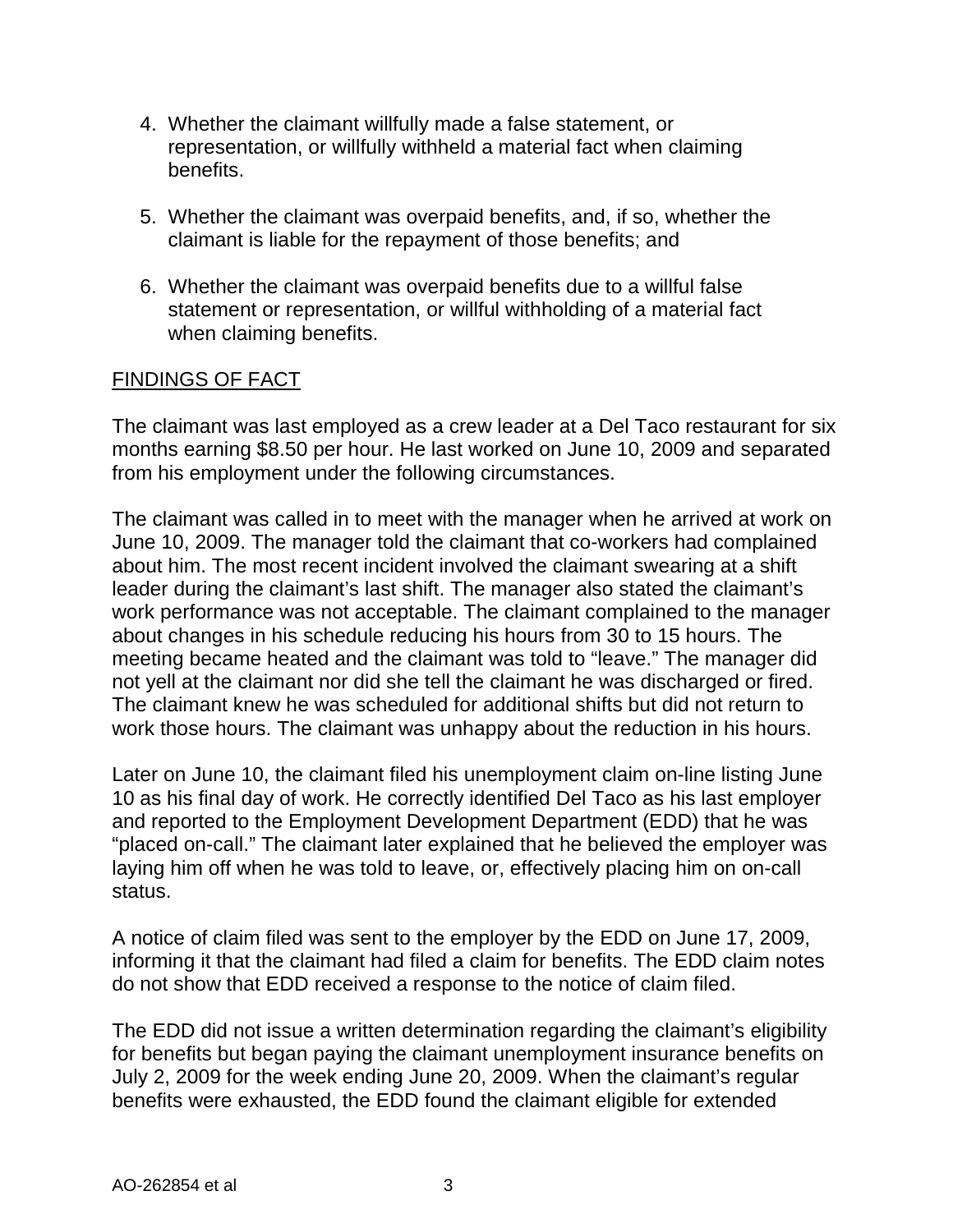- 4. Whether the claimant willfully made a false statement, or representation, or willfully withheld a material fact when claiming benefits.
- 5. Whether the claimant was overpaid benefits, and, if so, whether the claimant is liable for the repayment of those benefits; and
- 6. Whether the claimant was overpaid benefits due to a willful false statement or representation, or willful withholding of a material fact when claiming benefits.

#### FINDINGS OF FACT

The claimant was last employed as a crew leader at a Del Taco restaurant for six months earning \$8.50 per hour. He last worked on June 10, 2009 and separated from his employment under the following circumstances.

The claimant was called in to meet with the manager when he arrived at work on June 10, 2009. The manager told the claimant that co-workers had complained about him. The most recent incident involved the claimant swearing at a shift leader during the claimant's last shift. The manager also stated the claimant's work performance was not acceptable. The claimant complained to the manager about changes in his schedule reducing his hours from 30 to 15 hours. The meeting became heated and the claimant was told to "leave." The manager did not yell at the claimant nor did she tell the claimant he was discharged or fired. The claimant knew he was scheduled for additional shifts but did not return to work those hours. The claimant was unhappy about the reduction in his hours.

Later on June 10, the claimant filed his unemployment claim on-line listing June 10 as his final day of work. He correctly identified Del Taco as his last employer and reported to the Employment Development Department (EDD) that he was "placed on-call." The claimant later explained that he believed the employer was laying him off when he was told to leave, or, effectively placing him on on-call status.

A notice of claim filed was sent to the employer by the EDD on June 17, 2009, informing it that the claimant had filed a claim for benefits. The EDD claim notes do not show that EDD received a response to the notice of claim filed.

The EDD did not issue a written determination regarding the claimant's eligibility for benefits but began paying the claimant unemployment insurance benefits on July 2, 2009 for the week ending June 20, 2009. When the claimant's regular benefits were exhausted, the EDD found the claimant eligible for extended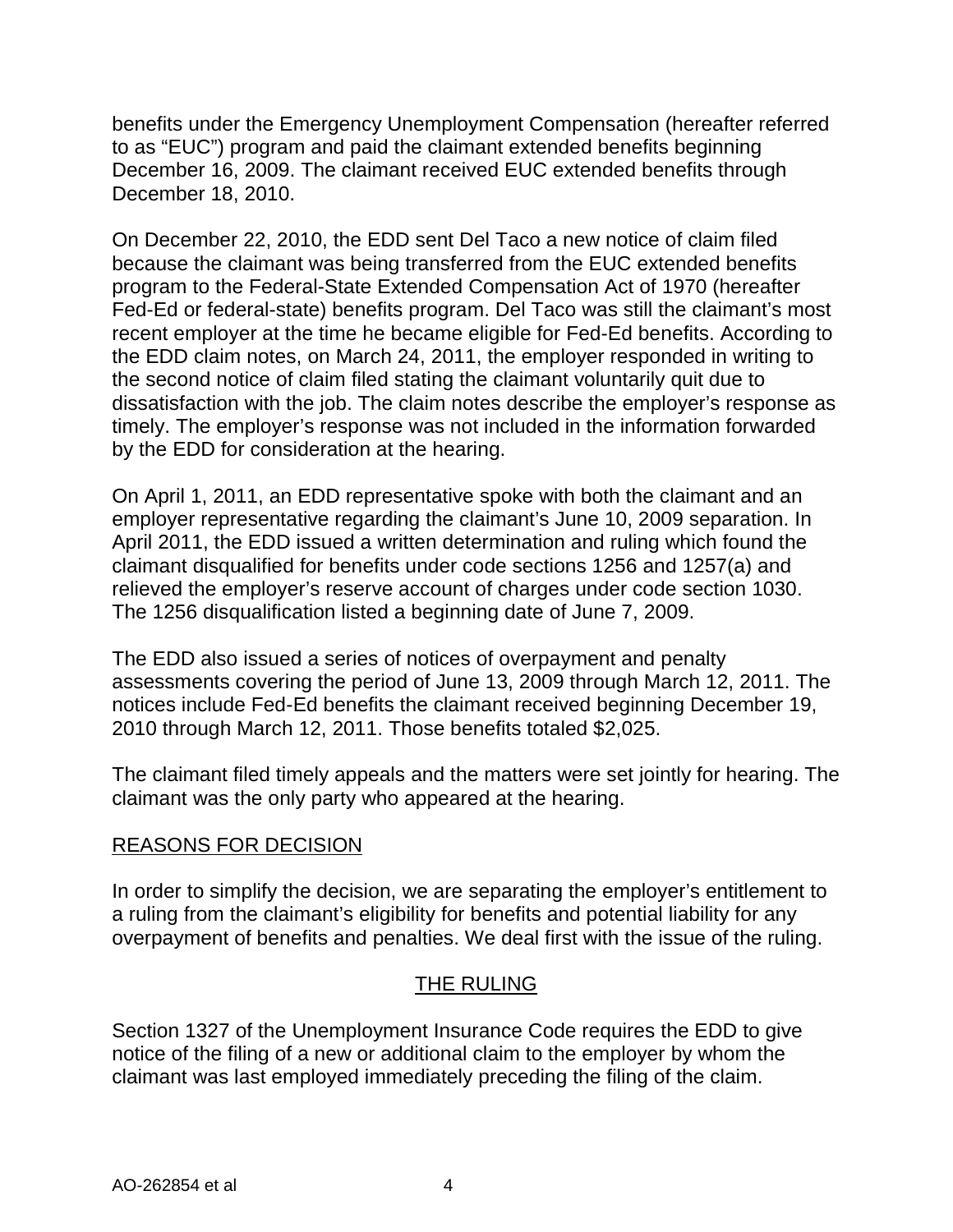benefits under the Emergency Unemployment Compensation (hereafter referred to as "EUC") program and paid the claimant extended benefits beginning December 16, 2009. The claimant received EUC extended benefits through December 18, 2010.

On December 22, 2010, the EDD sent Del Taco a new notice of claim filed because the claimant was being transferred from the EUC extended benefits program to the Federal-State Extended Compensation Act of 1970 (hereafter Fed-Ed or federal-state) benefits program. Del Taco was still the claimant's most recent employer at the time he became eligible for Fed-Ed benefits. According to the EDD claim notes, on March 24, 2011, the employer responded in writing to the second notice of claim filed stating the claimant voluntarily quit due to dissatisfaction with the job. The claim notes describe the employer's response as timely. The employer's response was not included in the information forwarded by the EDD for consideration at the hearing.

On April 1, 2011, an EDD representative spoke with both the claimant and an employer representative regarding the claimant's June 10, 2009 separation. In April 2011, the EDD issued a written determination and ruling which found the claimant disqualified for benefits under code sections 1256 and 1257(a) and relieved the employer's reserve account of charges under code section 1030. The 1256 disqualification listed a beginning date of June 7, 2009.

The EDD also issued a series of notices of overpayment and penalty assessments covering the period of June 13, 2009 through March 12, 2011. The notices include Fed-Ed benefits the claimant received beginning December 19, 2010 through March 12, 2011. Those benefits totaled \$2,025.

The claimant filed timely appeals and the matters were set jointly for hearing. The claimant was the only party who appeared at the hearing.

# REASONS FOR DECISION

In order to simplify the decision, we are separating the employer's entitlement to a ruling from the claimant's eligibility for benefits and potential liability for any overpayment of benefits and penalties. We deal first with the issue of the ruling.

# THE RULING

Section 1327 of the Unemployment Insurance Code requires the EDD to give notice of the filing of a new or additional claim to the employer by whom the claimant was last employed immediately preceding the filing of the claim.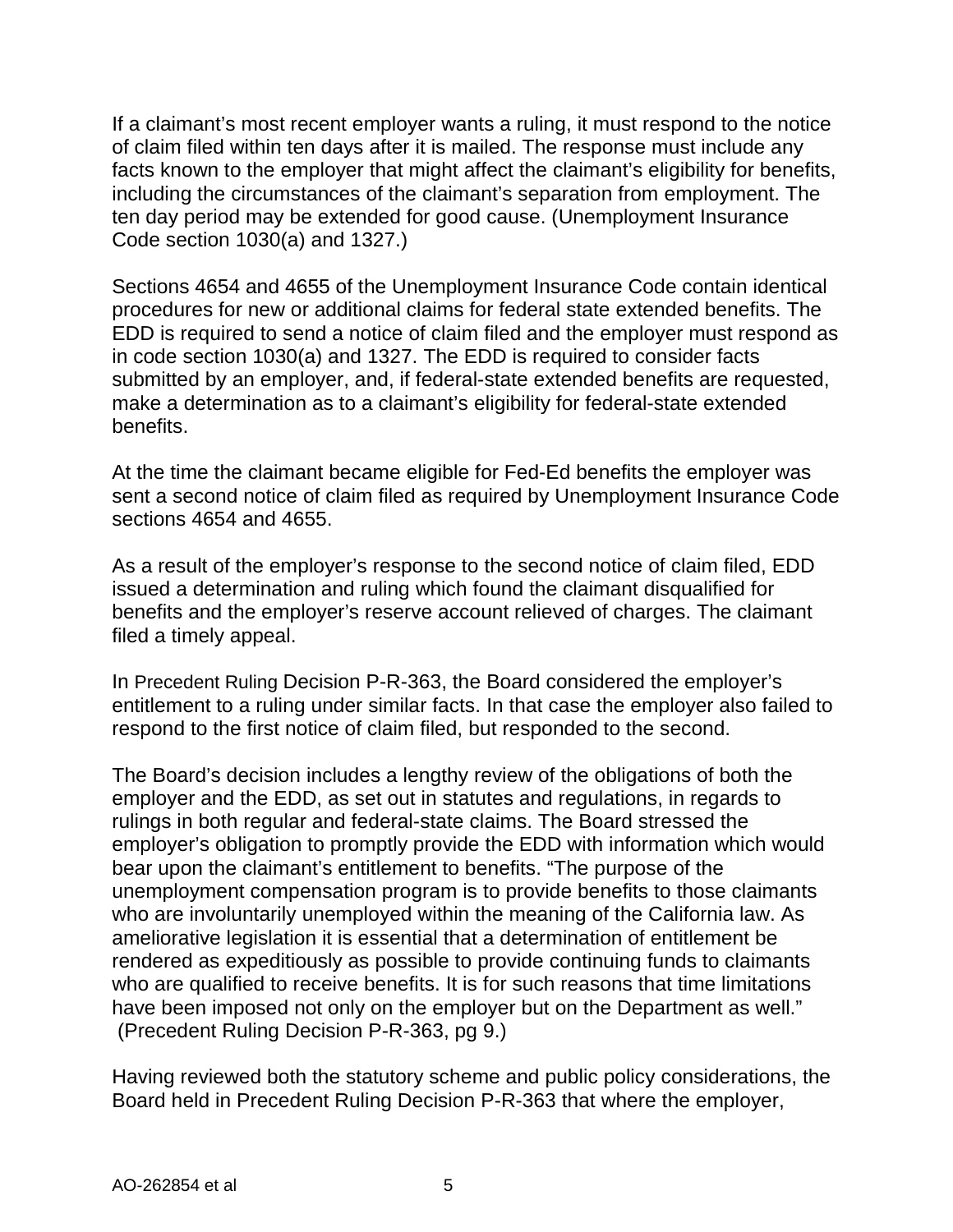If a claimant's most recent employer wants a ruling, it must respond to the notice of claim filed within ten days after it is mailed. The response must include any facts known to the employer that might affect the claimant's eligibility for benefits, including the circumstances of the claimant's separation from employment. The ten day period may be extended for good cause. (Unemployment Insurance Code section 1030(a) and 1327.)

Sections 4654 and 4655 of the Unemployment Insurance Code contain identical procedures for new or additional claims for federal state extended benefits. The EDD is required to send a notice of claim filed and the employer must respond as in code section 1030(a) and 1327. The EDD is required to consider facts submitted by an employer, and, if federal-state extended benefits are requested, make a determination as to a claimant's eligibility for federal-state extended benefits.

At the time the claimant became eligible for Fed-Ed benefits the employer was sent a second notice of claim filed as required by Unemployment Insurance Code sections 4654 and 4655.

As a result of the employer's response to the second notice of claim filed, EDD issued a determination and ruling which found the claimant disqualified for benefits and the employer's reserve account relieved of charges. The claimant filed a timely appeal.

In Precedent Ruling Decision P-R-363, the Board considered the employer's entitlement to a ruling under similar facts. In that case the employer also failed to respond to the first notice of claim filed, but responded to the second.

The Board's decision includes a lengthy review of the obligations of both the employer and the EDD, as set out in statutes and regulations, in regards to rulings in both regular and federal-state claims. The Board stressed the employer's obligation to promptly provide the EDD with information which would bear upon the claimant's entitlement to benefits. "The purpose of the unemployment compensation program is to provide benefits to those claimants who are involuntarily unemployed within the meaning of the California law. As ameliorative legislation it is essential that a determination of entitlement be rendered as expeditiously as possible to provide continuing funds to claimants who are qualified to receive benefits. It is for such reasons that time limitations have been imposed not only on the employer but on the Department as well." (Precedent Ruling Decision P-R-363, pg 9.)

Having reviewed both the statutory scheme and public policy considerations, the Board held in Precedent Ruling Decision P-R-363 that where the employer,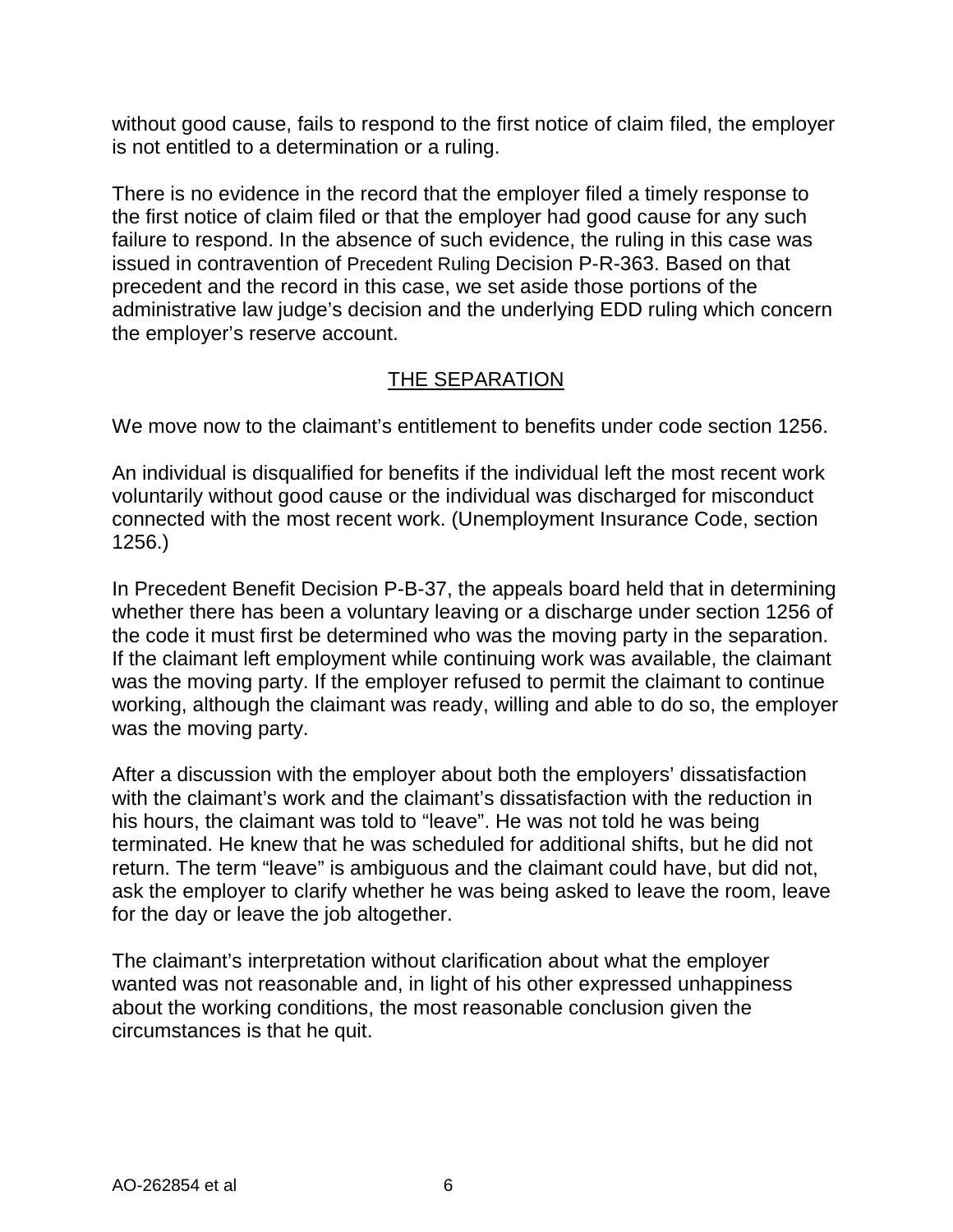without good cause, fails to respond to the first notice of claim filed, the employer is not entitled to a determination or a ruling.

There is no evidence in the record that the employer filed a timely response to the first notice of claim filed or that the employer had good cause for any such failure to respond. In the absence of such evidence, the ruling in this case was issued in contravention of Precedent Ruling Decision P-R-363. Based on that precedent and the record in this case, we set aside those portions of the administrative law judge's decision and the underlying EDD ruling which concern the employer's reserve account.

# THE SEPARATION

We move now to the claimant's entitlement to benefits under code section 1256.

An individual is disqualified for benefits if the individual left the most recent work voluntarily without good cause or the individual was discharged for misconduct connected with the most recent work. (Unemployment Insurance Code, section 1256.)

In Precedent Benefit Decision P-B-37, the appeals board held that in determining whether there has been a voluntary leaving or a discharge under section 1256 of the code it must first be determined who was the moving party in the separation. If the claimant left employment while continuing work was available, the claimant was the moving party. If the employer refused to permit the claimant to continue working, although the claimant was ready, willing and able to do so, the employer was the moving party.

After a discussion with the employer about both the employers' dissatisfaction with the claimant's work and the claimant's dissatisfaction with the reduction in his hours, the claimant was told to "leave". He was not told he was being terminated. He knew that he was scheduled for additional shifts, but he did not return. The term "leave" is ambiguous and the claimant could have, but did not, ask the employer to clarify whether he was being asked to leave the room, leave for the day or leave the job altogether.

The claimant's interpretation without clarification about what the employer wanted was not reasonable and, in light of his other expressed unhappiness about the working conditions, the most reasonable conclusion given the circumstances is that he quit.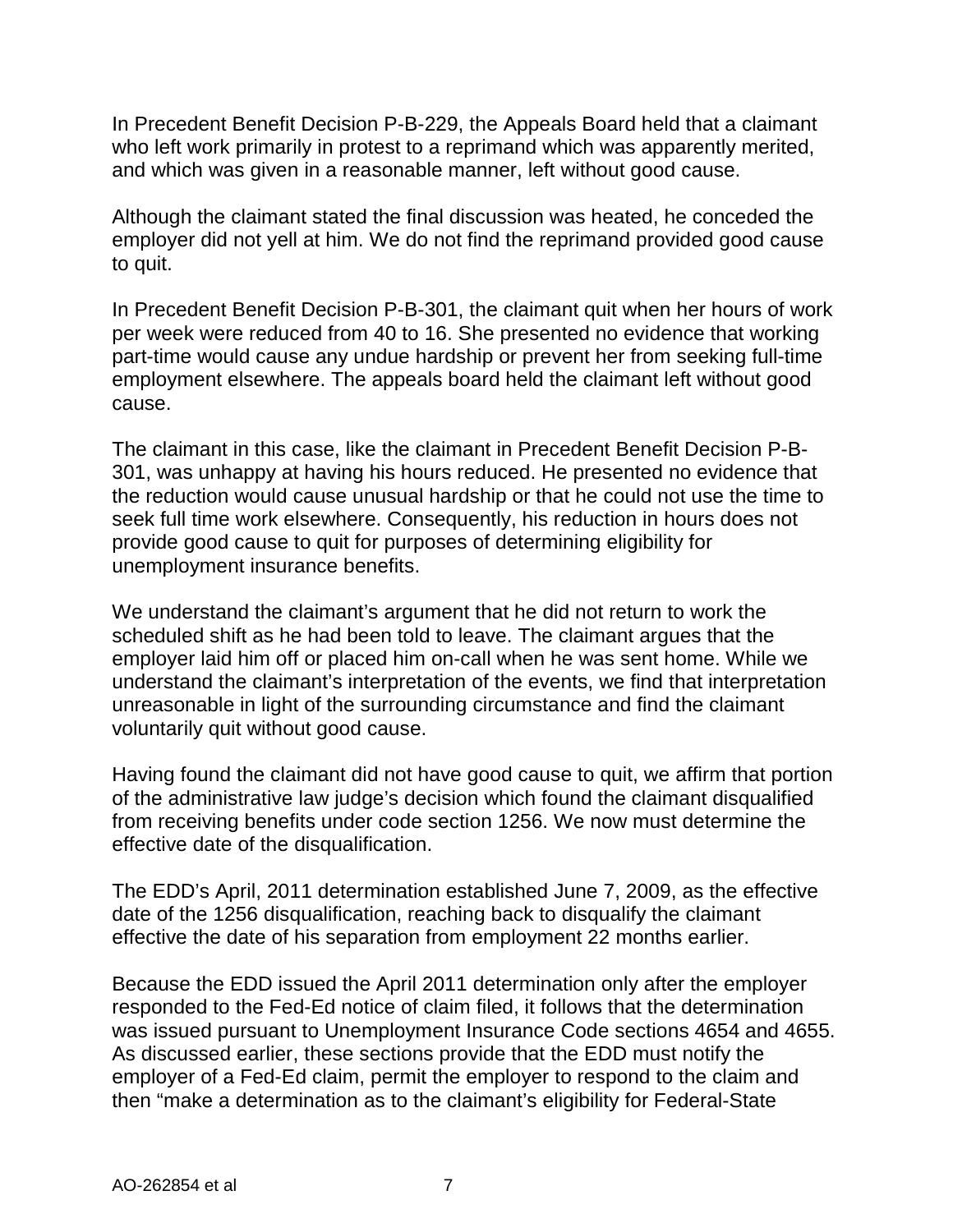In Precedent Benefit Decision P-B-229, the Appeals Board held that a claimant who left work primarily in protest to a reprimand which was apparently merited, and which was given in a reasonable manner, left without good cause.

Although the claimant stated the final discussion was heated, he conceded the employer did not yell at him. We do not find the reprimand provided good cause to quit.

In Precedent Benefit Decision P-B-301, the claimant quit when her hours of work per week were reduced from 40 to 16. She presented no evidence that working part-time would cause any undue hardship or prevent her from seeking full-time employment elsewhere. The appeals board held the claimant left without good cause.

The claimant in this case, like the claimant in Precedent Benefit Decision P-B-301, was unhappy at having his hours reduced. He presented no evidence that the reduction would cause unusual hardship or that he could not use the time to seek full time work elsewhere. Consequently, his reduction in hours does not provide good cause to quit for purposes of determining eligibility for unemployment insurance benefits.

We understand the claimant's argument that he did not return to work the scheduled shift as he had been told to leave. The claimant argues that the employer laid him off or placed him on-call when he was sent home. While we understand the claimant's interpretation of the events, we find that interpretation unreasonable in light of the surrounding circumstance and find the claimant voluntarily quit without good cause.

Having found the claimant did not have good cause to quit, we affirm that portion of the administrative law judge's decision which found the claimant disqualified from receiving benefits under code section 1256. We now must determine the effective date of the disqualification.

The EDD's April, 2011 determination established June 7, 2009, as the effective date of the 1256 disqualification, reaching back to disqualify the claimant effective the date of his separation from employment 22 months earlier.

Because the EDD issued the April 2011 determination only after the employer responded to the Fed-Ed notice of claim filed, it follows that the determination was issued pursuant to Unemployment Insurance Code sections 4654 and 4655. As discussed earlier, these sections provide that the EDD must notify the employer of a Fed-Ed claim, permit the employer to respond to the claim and then "make a determination as to the claimant's eligibility for Federal-State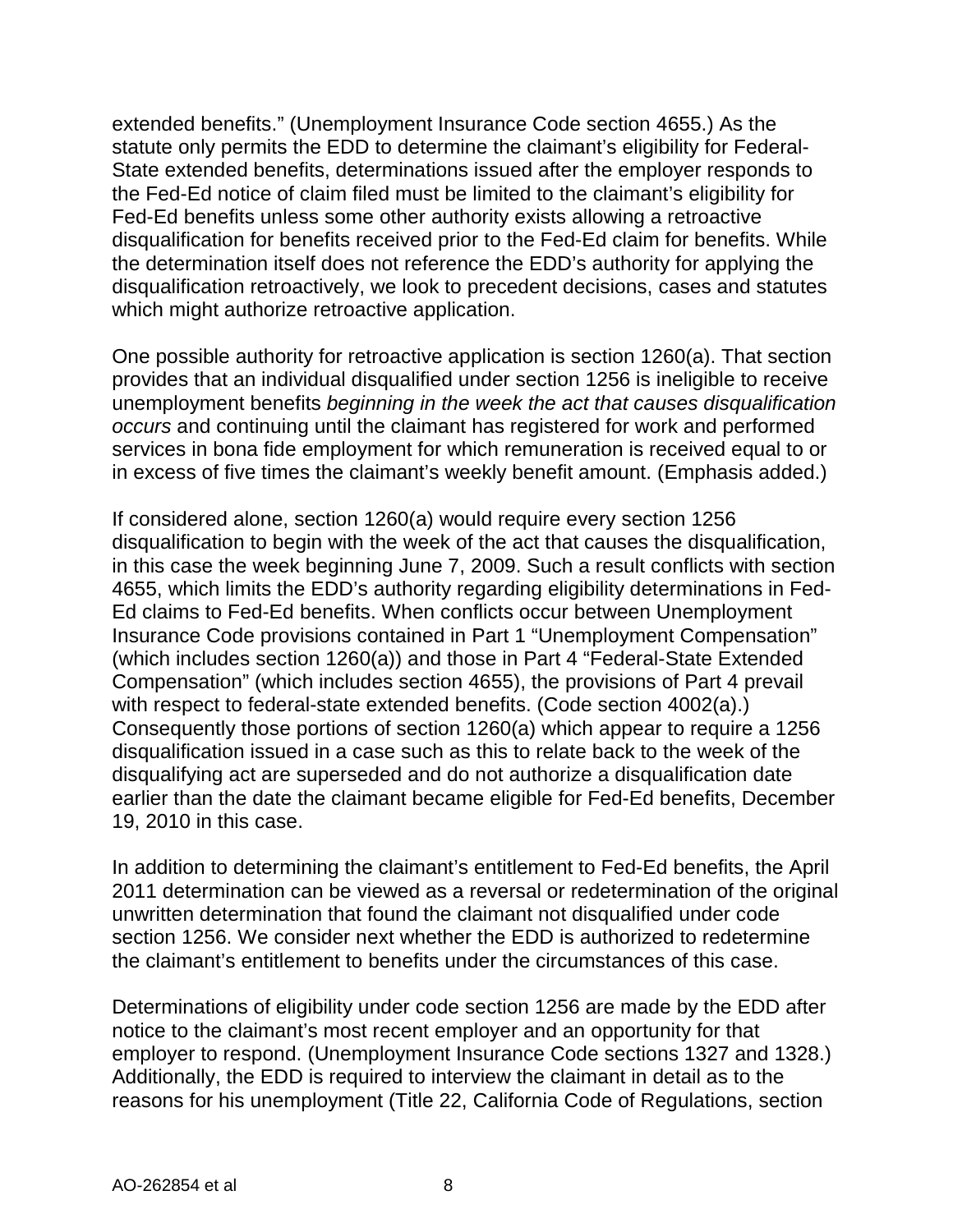extended benefits." (Unemployment Insurance Code section 4655.) As the statute only permits the EDD to determine the claimant's eligibility for Federal-State extended benefits, determinations issued after the employer responds to the Fed-Ed notice of claim filed must be limited to the claimant's eligibility for Fed-Ed benefits unless some other authority exists allowing a retroactive disqualification for benefits received prior to the Fed-Ed claim for benefits. While the determination itself does not reference the EDD's authority for applying the disqualification retroactively, we look to precedent decisions, cases and statutes which might authorize retroactive application.

One possible authority for retroactive application is section 1260(a). That section provides that an individual disqualified under section 1256 is ineligible to receive unemployment benefits *beginning in the week the act that causes disqualification occurs* and continuing until the claimant has registered for work and performed services in bona fide employment for which remuneration is received equal to or in excess of five times the claimant's weekly benefit amount. (Emphasis added.)

If considered alone, section 1260(a) would require every section 1256 disqualification to begin with the week of the act that causes the disqualification, in this case the week beginning June 7, 2009. Such a result conflicts with section 4655, which limits the EDD's authority regarding eligibility determinations in Fed-Ed claims to Fed-Ed benefits. When conflicts occur between Unemployment Insurance Code provisions contained in Part 1 "Unemployment Compensation" (which includes section 1260(a)) and those in Part 4 "Federal-State Extended Compensation" (which includes section 4655), the provisions of Part 4 prevail with respect to federal-state extended benefits. (Code section 4002(a).) Consequently those portions of section 1260(a) which appear to require a 1256 disqualification issued in a case such as this to relate back to the week of the disqualifying act are superseded and do not authorize a disqualification date earlier than the date the claimant became eligible for Fed-Ed benefits, December 19, 2010 in this case.

In addition to determining the claimant's entitlement to Fed-Ed benefits, the April 2011 determination can be viewed as a reversal or redetermination of the original unwritten determination that found the claimant not disqualified under code section 1256. We consider next whether the EDD is authorized to redetermine the claimant's entitlement to benefits under the circumstances of this case.

Determinations of eligibility under code section 1256 are made by the EDD after notice to the claimant's most recent employer and an opportunity for that employer to respond. (Unemployment Insurance Code sections 1327 and 1328.) Additionally, the EDD is required to interview the claimant in detail as to the reasons for his unemployment (Title 22, California Code of Regulations, section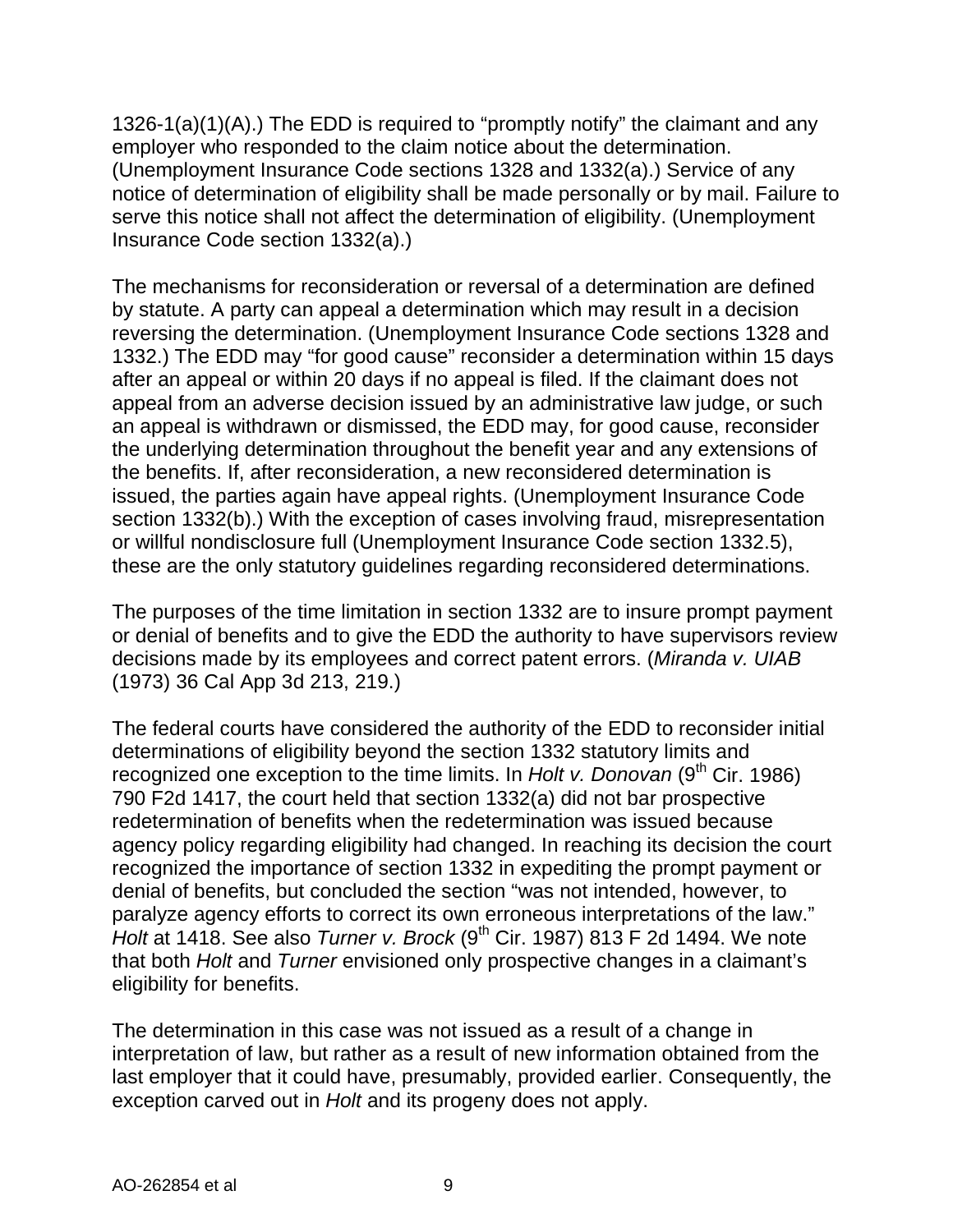1326-1(a)(1)(A).) The EDD is required to "promptly notify" the claimant and any employer who responded to the claim notice about the determination. (Unemployment Insurance Code sections 1328 and 1332(a).) Service of any notice of determination of eligibility shall be made personally or by mail. Failure to serve this notice shall not affect the determination of eligibility. (Unemployment Insurance Code section 1332(a).)

The mechanisms for reconsideration or reversal of a determination are defined by statute. A party can appeal a determination which may result in a decision reversing the determination. (Unemployment Insurance Code sections 1328 and 1332.) The EDD may "for good cause" reconsider a determination within 15 days after an appeal or within 20 days if no appeal is filed. If the claimant does not appeal from an adverse decision issued by an administrative law judge, or such an appeal is withdrawn or dismissed, the EDD may, for good cause, reconsider the underlying determination throughout the benefit year and any extensions of the benefits. If, after reconsideration, a new reconsidered determination is issued, the parties again have appeal rights. (Unemployment Insurance Code section 1332(b).) With the exception of cases involving fraud, misrepresentation or willful nondisclosure full (Unemployment Insurance Code section 1332.5), these are the only statutory guidelines regarding reconsidered determinations.

The purposes of the time limitation in section 1332 are to insure prompt payment or denial of benefits and to give the EDD the authority to have supervisors review decisions made by its employees and correct patent errors. (*Miranda v. UIAB* (1973) 36 Cal App 3d 213, 219.)

The federal courts have considered the authority of the EDD to reconsider initial determinations of eligibility beyond the section 1332 statutory limits and recognized one exception to the time limits. In *Holt v. Donovan* (9<sup>th</sup> Cir. 1986) 790 F2d 1417, the court held that section 1332(a) did not bar prospective redetermination of benefits when the redetermination was issued because agency policy regarding eligibility had changed. In reaching its decision the court recognized the importance of section 1332 in expediting the prompt payment or denial of benefits, but concluded the section "was not intended, however, to paralyze agency efforts to correct its own erroneous interpretations of the law." *Holt* at 1418. See also *Turner v. Brock* (9<sup>th</sup> Cir. 1987) 813 F 2d 1494. We note that both *Holt* and *Turner* envisioned only prospective changes in a claimant's eligibility for benefits.

The determination in this case was not issued as a result of a change in interpretation of law, but rather as a result of new information obtained from the last employer that it could have, presumably, provided earlier. Consequently, the exception carved out in *Holt* and its progeny does not apply.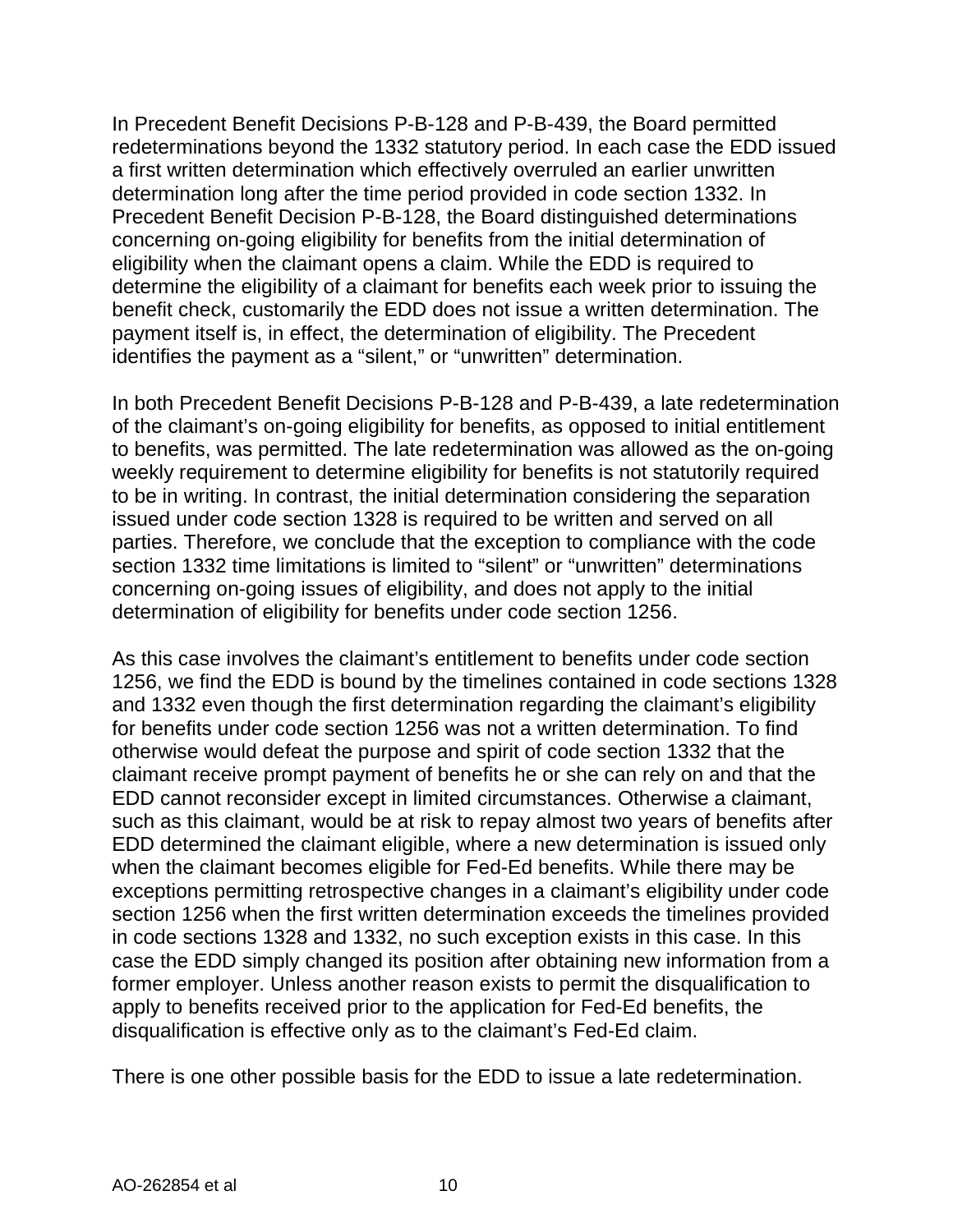In Precedent Benefit Decisions P-B-128 and P-B-439, the Board permitted redeterminations beyond the 1332 statutory period. In each case the EDD issued a first written determination which effectively overruled an earlier unwritten determination long after the time period provided in code section 1332. In Precedent Benefit Decision P-B-128, the Board distinguished determinations concerning on-going eligibility for benefits from the initial determination of eligibility when the claimant opens a claim. While the EDD is required to determine the eligibility of a claimant for benefits each week prior to issuing the benefit check, customarily the EDD does not issue a written determination. The payment itself is, in effect, the determination of eligibility. The Precedent identifies the payment as a "silent," or "unwritten" determination.

In both Precedent Benefit Decisions P-B-128 and P-B-439, a late redetermination of the claimant's on-going eligibility for benefits, as opposed to initial entitlement to benefits, was permitted. The late redetermination was allowed as the on-going weekly requirement to determine eligibility for benefits is not statutorily required to be in writing. In contrast, the initial determination considering the separation issued under code section 1328 is required to be written and served on all parties. Therefore, we conclude that the exception to compliance with the code section 1332 time limitations is limited to "silent" or "unwritten" determinations concerning on-going issues of eligibility, and does not apply to the initial determination of eligibility for benefits under code section 1256.

As this case involves the claimant's entitlement to benefits under code section 1256, we find the EDD is bound by the timelines contained in code sections 1328 and 1332 even though the first determination regarding the claimant's eligibility for benefits under code section 1256 was not a written determination. To find otherwise would defeat the purpose and spirit of code section 1332 that the claimant receive prompt payment of benefits he or she can rely on and that the EDD cannot reconsider except in limited circumstances. Otherwise a claimant, such as this claimant, would be at risk to repay almost two years of benefits after EDD determined the claimant eligible, where a new determination is issued only when the claimant becomes eligible for Fed-Ed benefits. While there may be exceptions permitting retrospective changes in a claimant's eligibility under code section 1256 when the first written determination exceeds the timelines provided in code sections 1328 and 1332, no such exception exists in this case. In this case the EDD simply changed its position after obtaining new information from a former employer. Unless another reason exists to permit the disqualification to apply to benefits received prior to the application for Fed-Ed benefits, the disqualification is effective only as to the claimant's Fed-Ed claim.

There is one other possible basis for the EDD to issue a late redetermination.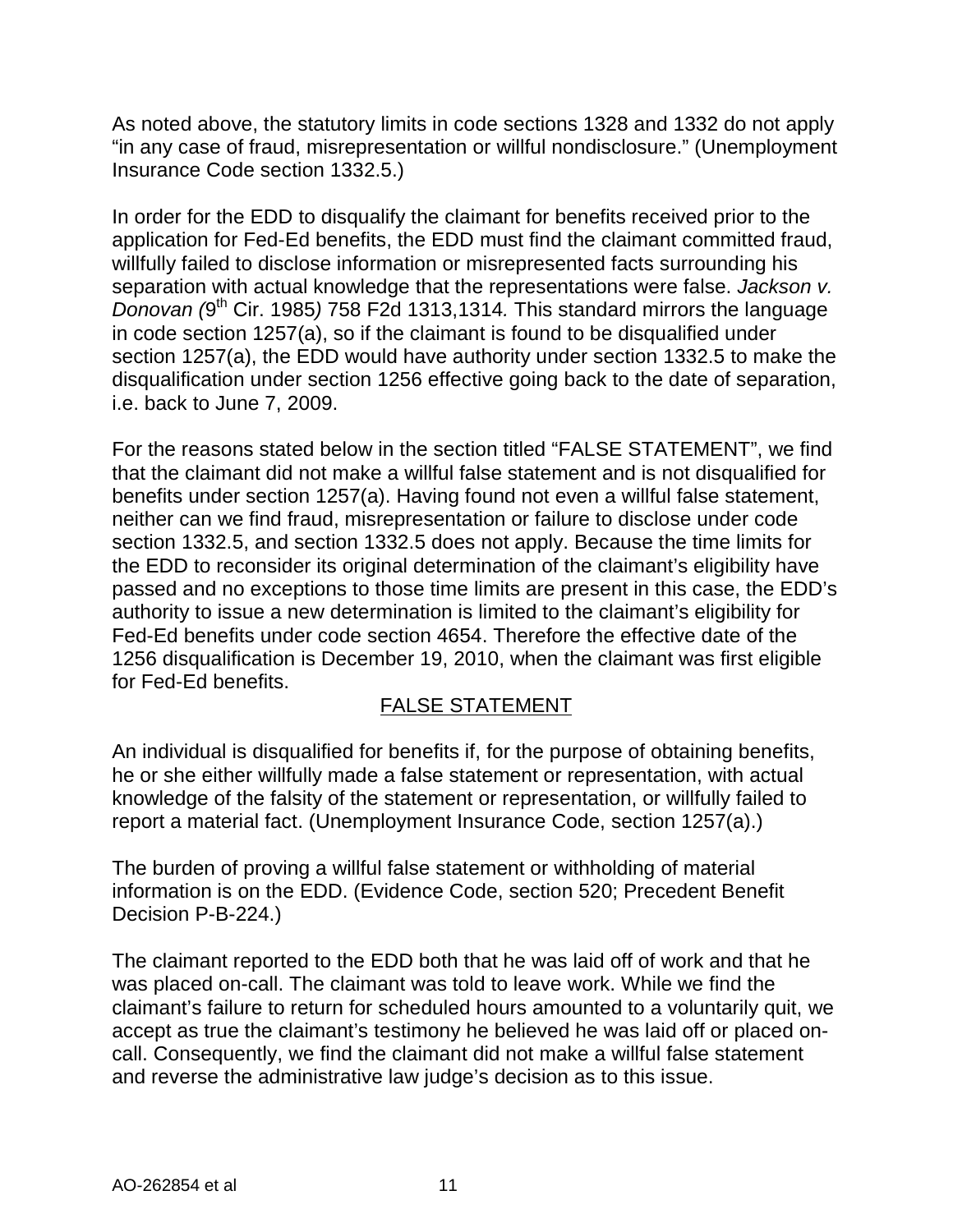As noted above, the statutory limits in code sections 1328 and 1332 do not apply "in any case of fraud, misrepresentation or willful nondisclosure." (Unemployment Insurance Code section 1332.5.)

In order for the EDD to disqualify the claimant for benefits received prior to the application for Fed-Ed benefits, the EDD must find the claimant committed fraud, willfully failed to disclose information or misrepresented facts surrounding his separation with actual knowledge that the representations were false. *Jackson v. Donovan (*9th Cir. 1985*)* 758 F2d 1313,1314*.* This standard mirrors the language in code section 1257(a), so if the claimant is found to be disqualified under section 1257(a), the EDD would have authority under section 1332.5 to make the disqualification under section 1256 effective going back to the date of separation, i.e. back to June 7, 2009.

For the reasons stated below in the section titled "FALSE STATEMENT", we find that the claimant did not make a willful false statement and is not disqualified for benefits under section 1257(a). Having found not even a willful false statement, neither can we find fraud, misrepresentation or failure to disclose under code section 1332.5, and section 1332.5 does not apply. Because the time limits for the EDD to reconsider its original determination of the claimant's eligibility have passed and no exceptions to those time limits are present in this case, the EDD's authority to issue a new determination is limited to the claimant's eligibility for Fed-Ed benefits under code section 4654. Therefore the effective date of the 1256 disqualification is December 19, 2010, when the claimant was first eligible for Fed-Ed benefits.

# FALSE STATEMENT

An individual is disqualified for benefits if, for the purpose of obtaining benefits, he or she either willfully made a false statement or representation, with actual knowledge of the falsity of the statement or representation, or willfully failed to report a material fact. (Unemployment Insurance Code, section 1257(a).)

The burden of proving a willful false statement or withholding of material information is on the EDD. (Evidence Code, section 520; Precedent Benefit Decision P-B-224.)

The claimant reported to the EDD both that he was laid off of work and that he was placed on-call. The claimant was told to leave work. While we find the claimant's failure to return for scheduled hours amounted to a voluntarily quit, we accept as true the claimant's testimony he believed he was laid off or placed oncall. Consequently, we find the claimant did not make a willful false statement and reverse the administrative law judge's decision as to this issue.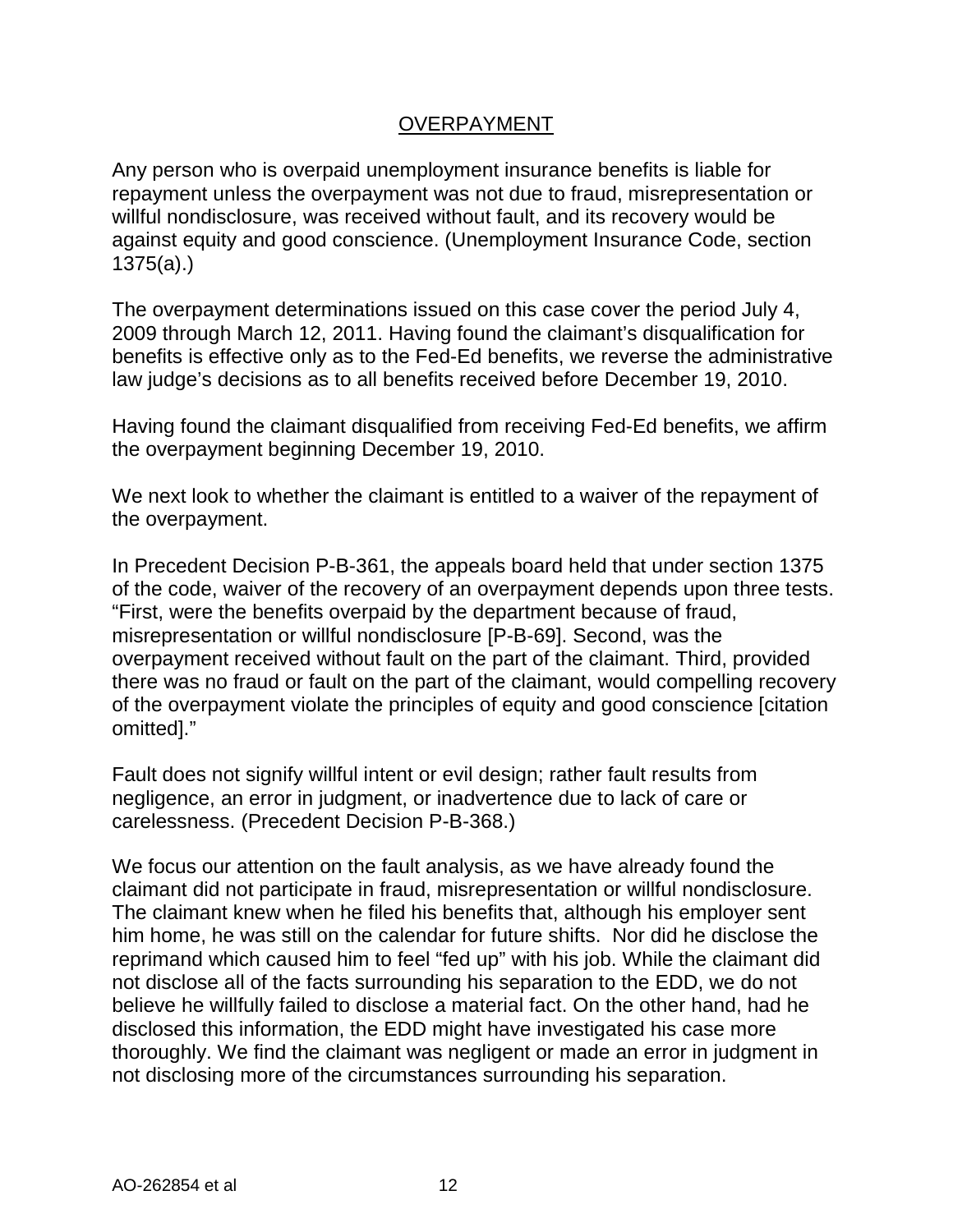#### OVERPAYMENT

Any person who is overpaid unemployment insurance benefits is liable for repayment unless the overpayment was not due to fraud, misrepresentation or willful nondisclosure, was received without fault, and its recovery would be against equity and good conscience. (Unemployment Insurance Code, section 1375(a).)

The overpayment determinations issued on this case cover the period July 4, 2009 through March 12, 2011. Having found the claimant's disqualification for benefits is effective only as to the Fed-Ed benefits, we reverse the administrative law judge's decisions as to all benefits received before December 19, 2010.

Having found the claimant disqualified from receiving Fed-Ed benefits, we affirm the overpayment beginning December 19, 2010.

We next look to whether the claimant is entitled to a waiver of the repayment of the overpayment.

In Precedent Decision P-B-361, the appeals board held that under section 1375 of the code, waiver of the recovery of an overpayment depends upon three tests. "First, were the benefits overpaid by the department because of fraud, misrepresentation or willful nondisclosure [P-B-69]. Second, was the overpayment received without fault on the part of the claimant. Third, provided there was no fraud or fault on the part of the claimant, would compelling recovery of the overpayment violate the principles of equity and good conscience [citation omitted]."

Fault does not signify willful intent or evil design; rather fault results from negligence, an error in judgment, or inadvertence due to lack of care or carelessness. (Precedent Decision P-B-368.)

We focus our attention on the fault analysis, as we have already found the claimant did not participate in fraud, misrepresentation or willful nondisclosure. The claimant knew when he filed his benefits that, although his employer sent him home, he was still on the calendar for future shifts. Nor did he disclose the reprimand which caused him to feel "fed up" with his job. While the claimant did not disclose all of the facts surrounding his separation to the EDD, we do not believe he willfully failed to disclose a material fact. On the other hand, had he disclosed this information, the EDD might have investigated his case more thoroughly. We find the claimant was negligent or made an error in judgment in not disclosing more of the circumstances surrounding his separation.